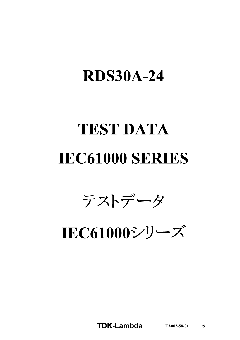## **RDS30A-24**

# **TEST DATA IEC61000 SERIES**



**IEC61000シリーズ** 

**TDKLambda FA0055801** 1/9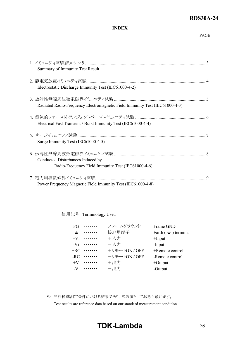### **RDS30A-24**

### **INDEX**

| Summary of Immunity Test Result                                                         |   |
|-----------------------------------------------------------------------------------------|---|
| Electrostatic Discharge Immunity Test (IEC61000-4-2)                                    |   |
| Radiated Radio-Frequency Electromagnetic Field Immunity Test (IEC61000-4-3)             |   |
| Electrical Fast Transient / Burst Immunity Test (IEC61000-4-4)                          |   |
| Surge Immunity Test (IEC61000-4-5)                                                      |   |
| Conducted Disturbances Induced by<br>Radio-Frequency Field Immunity Test (IEC61000-4-6) |   |
| Power Frequency Magnetic Field Immunity Test (IEC61000-4-8)                             | 9 |

使用記号 Terminology Used

| FG. | .                    | フレームグラウンド     | Frame GND                       |
|-----|----------------------|---------------|---------------------------------|
| ᆂ   |                      | 接地用端子         | Earth $($ $\equiv$ $)$ terminal |
|     | $+V_1 \cdots \cdots$ | 十入力           | $+$ Input                       |
|     | $-V_i$               | 一入力           | -Input                          |
|     | $+RC$                | +リモートON / OFF | $+$ Remote control              |
|     | $-RC \cdots$         | ーリモートON / OFF | -Remote control                 |
|     | $+V$                 | +出力           | $+$ Output                      |
|     | $-V \cdots$          | 一出力           | -Output                         |

※ 当社標準測定条件における結果であり、参考値としてお考え願います。

Test results are reference data based on our standard measurement condition.

### **TDK-Lambda**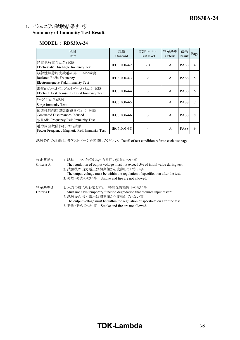### **1. Summary of Immunity Test Result**

### **MODEL : RDS30A-24**

| 項目<br>Item                                                                                      | 規格<br>Standard | 試験レベル<br>Test level | 判定基準<br>Criteria | 結果<br>Result | Page                     |
|-------------------------------------------------------------------------------------------------|----------------|---------------------|------------------|--------------|--------------------------|
| 静電気放電バュニテイ試験<br>Electrostatic Discharge Immunity Test                                           | IEC61000-4-2   | 2,3                 | $\mathsf{A}$     | <b>PASS</b>  | $\overline{\mathcal{A}}$ |
| 放射性無線周波数電磁界イミュニティ試験<br>Radiated Radio-Frequency<br>Electromagnetic Field Immunity Test          | IEC61000-4-3   | $\mathfrak{D}$      | $\mathsf{A}$     | <b>PASS</b>  | 5                        |
| 電気的ファーストランジェントバーストイミュニティ試験<br>Electrical Fast Transient / Burst Immunity Test                   | IEC61000-4-4   | 3                   | $\mathsf{A}$     | <b>PASS</b>  | 6                        |
| サージイミュニティ試験<br>Surge Immunity Test                                                              | IEC61000-4-5   |                     | $\mathsf{A}$     | <b>PASS</b>  |                          |
| 伝導性無線周波数電磁界イミュニティ試験<br>Conducted Disturbances Induced<br>by Radio-Frequency Field Immunity Test | IEC61000-4-6   | 3                   | $\mathsf{A}$     | <b>PASS</b>  | 8                        |
| 電力周波数磁界イミュニティ試験<br>Power Frequency Magnetic Field Immunity Test                                 | IEC61000-4-8   | 4                   | $\mathsf{A}$     | <b>PASS</b>  | $\mathbf Q$              |

試験条件の詳細は、各テストページを参照してください。 Detail of test condition refer to each test page.

| 判定基準A      | 1. 試験中、5%を超える出力電圧の変動のない事                                                                                       |  |  |  |  |  |
|------------|----------------------------------------------------------------------------------------------------------------|--|--|--|--|--|
| Criteria A | The regulation of output voltage must not exceed 5% of initial value during test.<br>2. 試験後の出力電圧は初期値から変動していない事 |  |  |  |  |  |
|            | The output voltage must be within the regulation of specification after the test.                              |  |  |  |  |  |
|            | 3. 発煙・発火のない事 Smoke and fire are not allowed.                                                                   |  |  |  |  |  |
| 判定基準B      | 1. 入力再投入を必要とする一時的な機能低下のない事                                                                                     |  |  |  |  |  |
| Criteria B | Must not have temporary function degradation that requires input restart.                                      |  |  |  |  |  |
|            | 2. 試験後の出力電圧は初期値から変動していない事                                                                                      |  |  |  |  |  |
|            | The output voltage must be within the regulation of specification after the test.                              |  |  |  |  |  |
|            | 3. 発煙・発火のない事 Smoke and fire are not allowed.                                                                   |  |  |  |  |  |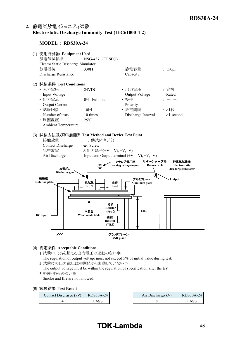### 2. 静電気放電イミュニティ試験 **Electrostatic Discharge Immunity Test (IEC6100042)**

### **MODEL : RDS30A-24**



**(4) Acceptable Conditions**

1.試験中、5%を超える出力電圧の変動のない事

The regulation of output voltage must not exceed 5% of initial value during test.

2.試験後の出力電圧は初期値から変動していない事

The output voltage must be within the regulation of specification after the test.

3.発煙・発火のない事

Smoke and fire are not allowed.

|  |  | (5) 試験結果 Test Result |
|--|--|----------------------|
|--|--|----------------------|

| Contact Discharge (kV) | RDS30A-24 | Air Discharge(kV) | RDS30A-24 |
|------------------------|-----------|-------------------|-----------|
|                        | PASS      |                   | PASS      |

### **TDKLambda**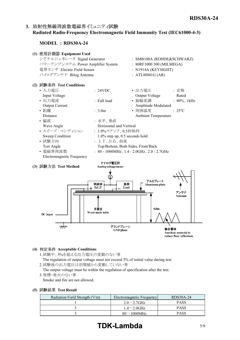### 3. 放射性無線周波数電磁界イミュニティ試験 **Radiated RadioFrequency Electromagnetic Field Immunity Test (IEC6100043)**

### **MODEL : RDS30A-24**



### **(4) Acceptable Conditions**

- 1.試験中、5%を超える出力電圧の変動のない事
- The regulation of output voltage must not exceed 5% of initial value during test. 2.試験後の出力電圧は初期値から変動していない事

The output voltage must be within the regulation of specification after the test.

- 3.発煙・発火のない事
	- Smoke and fire are not allowed.

#### **(5) Test Result**

| Radiation Field Strength (V/m) | Electromagnetic Frequency | RDS30A-24   |
|--------------------------------|---------------------------|-------------|
|                                | $2.0\sim2.7$ GHz          | <b>PASS</b> |
|                                | $1.4\sim2.0$ GHz          | <b>PASS</b> |
|                                | $80\sim1000$ MHz          | <b>PASS</b> |

### **TDK-Lambda** 5/9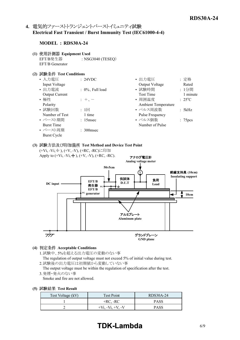### 4. 電気的ファーストトランジェントバーストイミュニティ試験 **Electrical Fast Transient / Burst Immunity Test (IEC6100044)**

### **MODEL : RDS30A-24**

**(1) Equipment Used** EFT/B発生器 : NSG3040 (TESEQ) EFT/B Generator

#### **(2) Test Conditions**

| • 入力電圧                | : 24VDC             | • 出力電圧                     | : 定格                |
|-----------------------|---------------------|----------------------------|---------------------|
| Input Voltage         |                     | Output Voltage             | Rated               |
| • 出力電流                | $: 0\%$ , Full load | • 試験時間                     | : 1分間               |
| <b>Output Current</b> |                     | <b>Test Time</b>           | 1 minute            |
| • 極性                  | $: +$               | • 周囲温度                     | $: 25^{\circ}C$     |
| Polarity              |                     | <b>Ambient Temperature</b> |                     |
| • 試験回数                | $: 1 \square$       | • パルス周波数                   | : 5kHz              |
| Number of Test        | 1 time              | Pulse Frequency            |                     |
| • バースト期間              | $: 15$ msec         | • パルス個数                    | : 75 <sub>pcs</sub> |
| <b>Burst Time</b>     |                     | Number of Pulse            |                     |
| • バースト周期              | $: 300$ msec        |                            |                     |
| Burst Cycle           |                     |                            |                     |

### **(3) Test Method and Device Test Point**



**(4) Acceptable Conditions**

1.試験中、5%を超える出力電圧の変動のない事

The regulation of output voltage must not exceed 5% of initial value during test. 2.試験後の出力電圧は初期値から変動していない事

The output voltage must be within the regulation of specification after the test.

3.発煙・発火のない事

Smoke and fire are not allowed.

|  |  | (5) 試験結果 Test Result |
|--|--|----------------------|
|--|--|----------------------|

| Test Voltage (kV) | <b>Test Point</b> | RDS30A-24   |
|-------------------|-------------------|-------------|
|                   | $+RC, -RC$        | PASS        |
|                   | $+Vi. -Vi. +V -V$ | <b>PASS</b> |

### **TDK-Lambda** 6/9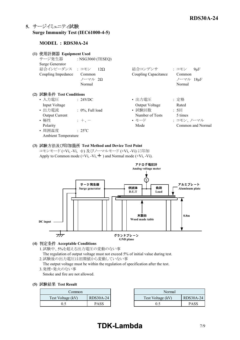### **5.** サージイミュニティ試験 **Surge Immunity Test (IEC6100045)**

### **MODEL : RDS30A-24**

| (1) 使用計測器 Equipment Used   |                     |                      |                    |
|----------------------------|---------------------|----------------------|--------------------|
| サージ発生器                     | : NSG3060 (TESEQ)   |                      |                    |
| Surge Generator            |                     |                      |                    |
| 結合インピーダンス : コモン            | $12\Omega$          | 結合コンデンサ              | : コモン<br>$9 \mu F$ |
| Coupling Impedance         | Common              | Coupling Capacitance | Common             |
|                            | ノーマル 2Ω             |                      | ノーマル 18µF          |
|                            | Normal              |                      | Normal             |
| (2) 試験条件 Test Conditions   |                     |                      |                    |
| • 入力電圧                     | : 24VDC             | • 出力電圧               | : 定格               |
| Input Voltage              |                     | Output Voltage       | Rated              |
| • 出力電流                     | $: 0\%$ , Full load | • 試験回数               | $: 5 \square$      |
| <b>Output Current</b>      |                     | Number of Tests      | 5 times            |
| • 極性                       | $: +,-$             | • モード                | : コモン、ノーマル         |
| Polarity                   |                     | Mode                 | Common and Normal  |
| • 周囲温度                     | $: 25^{\circ}C$     |                      |                    |
| <b>Ambient Temperature</b> |                     |                      |                    |

### **(3) Test Method and Device Test Point**

コモンモード (+Vi, -Vi, +) 及びノーマルモード (+Vi, -Vi) に印加 Apply to Common mode (+Vi, -Vi,  $\frac{1}{x}$ ) and Normal mode (+Vi, -Vi).



- **(4) Acceptable Conditions**
	- 1.試験中、5%を超える出力電圧の変動のない事
	- The regulation of output voltage must not exceed 5% of initial value during test.
	- 2.試験後の出力電圧は初期値から変動していない事

The output voltage must be within the regulation of specification after the test. 3.発煙・発火のない事

Smoke and fire are not allowed.

#### **(5) Test Result**

| Common            |           | Normal            |
|-------------------|-----------|-------------------|
| Test Voltage (kV) | RDS30A-24 | Test Voltage (kV) |
|                   | PASS      |                   |

| .`ommon           |                  | Normal            |                  |
|-------------------|------------------|-------------------|------------------|
| Test Voltage (kV) | <b>RDS30A-24</b> | Test Voltage (kV) | <b>RDS30A-24</b> |
| 0.5               | PASS             | ∪. أب             | PASS             |

### **TDK-Lambda** 7/9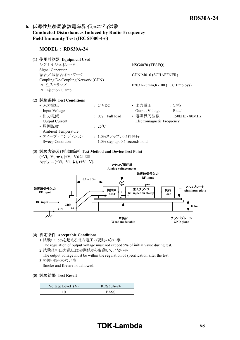### 6. 伝導性無線周波数電磁界イミュニティ試験 **Conducted Disturbances Induced by RadioFrequency** Field Immunity Test (IEC61000-4-6)

### **MODEL : RDS30A-24**

**(1) Equipment Used**

| シグナルジェネレータ                         | : NSG4070 (TESEQ)                     |
|------------------------------------|---------------------------------------|
| Signal Generator                   |                                       |
| 結合/減結合ネットワーク                       | $:$ CDN M016 (SCHAFFNER)              |
| Coupling De-Coupling Network (CDN) |                                       |
| RF 注入クランプ                          | $: F2031-23mm, R-100 (FCC \nEmploys)$ |
| RF Injection Clamp                 |                                       |

**(2) Test Conditions**

| • 入力電圧                     | : 24VDC                           | • 出力電圧                    | :定格              |
|----------------------------|-----------------------------------|---------------------------|------------------|
| Input Voltage              |                                   | Output Voltage            | Rated            |
| • 出力電流                     | $: 0\%$ , Full load               | • 電磁界周波数                  | : 150kHz - 80MHz |
| <b>Output Current</b>      |                                   | Electromagnetic Frequency |                  |
| • 周囲温度                     | $\div$ 2.5°C                      |                           |                  |
| <b>Ambient Temperature</b> |                                   |                           |                  |
| • スイープ・コンディション             | : 1.0%ステップ、0.5秒保持                 |                           |                  |
| Sweep Condition            | $1.0\%$ step up, 0.5 seconds hold |                           |                  |

### **(3) Test Method and Device Test Point** (+Vi, -Vi,  $\overset{+}{=}$ ), (+V, -V)に印加

Apply to  $(+Vi, -Vi, \frac{1}{2})$ ,  $(+V, -V)$ .



### **(4) Acceptable Conditions**

- 1.試験中、5%を超える出力電圧の変動のない事
- The regulation of output voltage must not exceed 5% of initial value during test.
- 2.試験後の出力電圧は初期値から変動していない事
- The output voltage must be within the regulation of specification after the test.
- 3.発煙・発火のない事

Smoke and fire are not allowed.

**(5) Test Result**

| Voltage Level (V) | RDS30A-24 |
|-------------------|-----------|
|                   | PASS      |

### **TDK-Lambda**